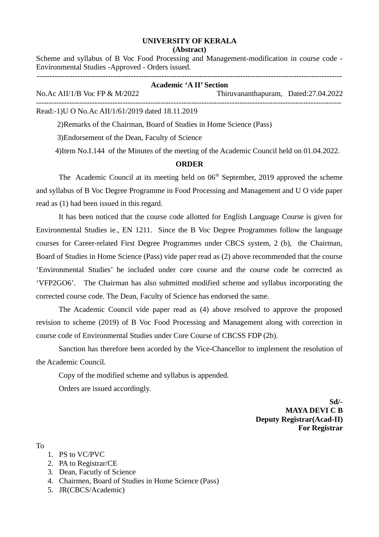## **UNIVERSITY OF KERALA (Abstract)**

Scheme and syllabus of B Voc Food Processing and Management-modification in course code - Environmental Studies -Approved - Orders issued.

 $-1\leq i\leq n-1$ 

| <b>Academic 'A II' Section</b>                   |                                      |  |
|--------------------------------------------------|--------------------------------------|--|
| No.Ac AII/1/B Voc FP & M/2022                    | Thiruvananthapuram, Dated:27.04.2022 |  |
| Read:-1)U O No.Ac AII/1/61/2019 dated 18.11.2019 |                                      |  |

2)Remarks of the Chairman, Board of Studies in Home Science (Pass)

3)Endorsement of the Dean, Faculty of Science

4)Item No.I.144 of the Minutes of the meeting of the Academic Council held on 01.04.2022.

## **ORDER**

The Academic Council at its meeting held on  $06<sup>th</sup>$  September, 2019 approved the scheme and syllabus of B Voc Degree Programme in Food Processing and Management and U O vide paper read as (1) had been issued in this regard.

It has been noticed that the course code allotted for English Language Course is given for Environmental Studies ie., EN 1211. Since the B Voc Degree Programmes follow the language courses for Career-related First Degree Programmes under CBCS system, 2 (b), the Chairman, Board of Studies in Home Science (Pass) vide paper read as (2) above recommended that the course 'Environmental Studies' be included under core course and the course code be corrected as 'VFP2GO6'. The Chairman has also submitted modified scheme and syllabus incorporating the corrected course code. The Dean, Faculty of Science has endorsed the same.

The Academic Council vide paper read as (4) above resolved to approve the proposed revision to scheme (2019) of B Voc Food Processing and Management along with correction in course code of Environmental Studies under Core Course of CBCSS FDP (2b).

Sanction has therefore been acorded by the Vice-Chancellor to implement the resolution of the Academic Council.

Copy of the modified scheme and syllabus is appended.

Orders are issued accordingly.

**Sd/- MAYA DEVI C B Deputy Registrar(Acad-II) For Registrar**

To

- 1. PS to VC/PVC
- 2. PA to Registrar/CE
- 3. Dean, Facutly of Science
- 4. Chairmen, Board of Studies in Home Science (Pass)
- 5. JR(CBCS/Academic)